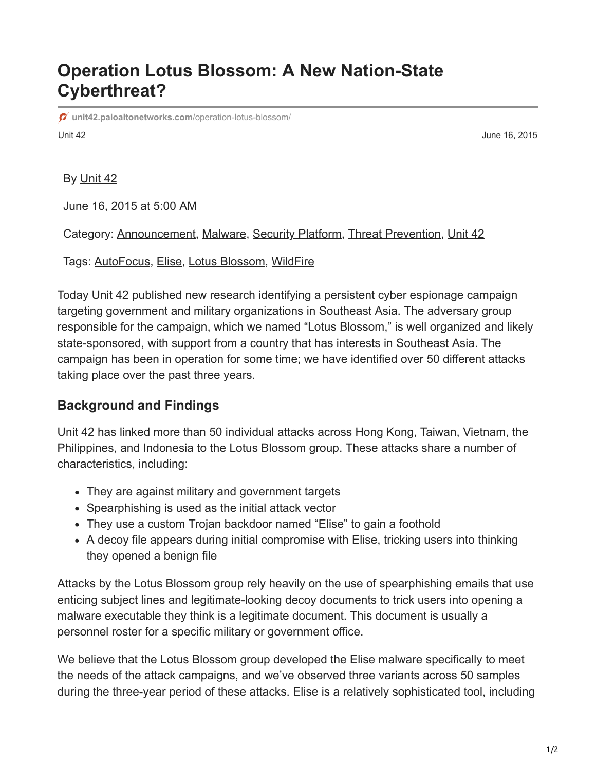## **Operation Lotus Blossom: A New Nation-State Cyberthreat?**

Unit 42 June 16, 2015 **[unit42.paloaltonetworks.com](https://unit42.paloaltonetworks.com/operation-lotus-blossom/)**/operation-lotus-blossom/

By [Unit 42](https://unit42.paloaltonetworks.com/author/unit42/)

June 16, 2015 at 5:00 AM

Category: [Announcement](https://unit42.paloaltonetworks.com/category/announcement/), [Malware](https://unit42.paloaltonetworks.com/category/malware-2/), [Security Platform](https://unit42.paloaltonetworks.com/category/security-platform/), [Threat Prevention](https://unit42.paloaltonetworks.com/category/threat-prevention-2/), [Unit 42](https://unit42.paloaltonetworks.com/category/unit42/)

Tags: [AutoFocus](https://unit42.paloaltonetworks.com/tag/autofocus/), [Elise](https://unit42.paloaltonetworks.com/tag/elise/), [Lotus Blossom](https://unit42.paloaltonetworks.com/tag/lotus-blossom/), [WildFire](https://unit42.paloaltonetworks.com/tag/wildfire/)

Today Unit 42 published new research identifying a persistent cyber espionage campaign targeting government and military organizations in Southeast Asia. The adversary group responsible for the campaign, which we named "Lotus Blossom," is well organized and likely state-sponsored, with support from a country that has interests in Southeast Asia. The campaign has been in operation for some time; we have identified over 50 different attacks taking place over the past three years.

## **Background and Findings**

Unit 42 has linked more than 50 individual attacks across Hong Kong, Taiwan, Vietnam, the Philippines, and Indonesia to the Lotus Blossom group. These attacks share a number of characteristics, including:

- They are against military and government targets
- Spearphishing is used as the initial attack vector
- They use a custom Trojan backdoor named "Elise" to gain a foothold
- A decoy file appears during initial compromise with Elise, tricking users into thinking they opened a benign file

Attacks by the Lotus Blossom group rely heavily on the use of spearphishing emails that use enticing subject lines and legitimate-looking decoy documents to trick users into opening a malware executable they think is a legitimate document. This document is usually a personnel roster for a specific military or government office.

We believe that the Lotus Blossom group developed the Elise malware specifically to meet the needs of the attack campaigns, and we've observed three variants across 50 samples during the three-year period of these attacks. Elise is a relatively sophisticated tool, including